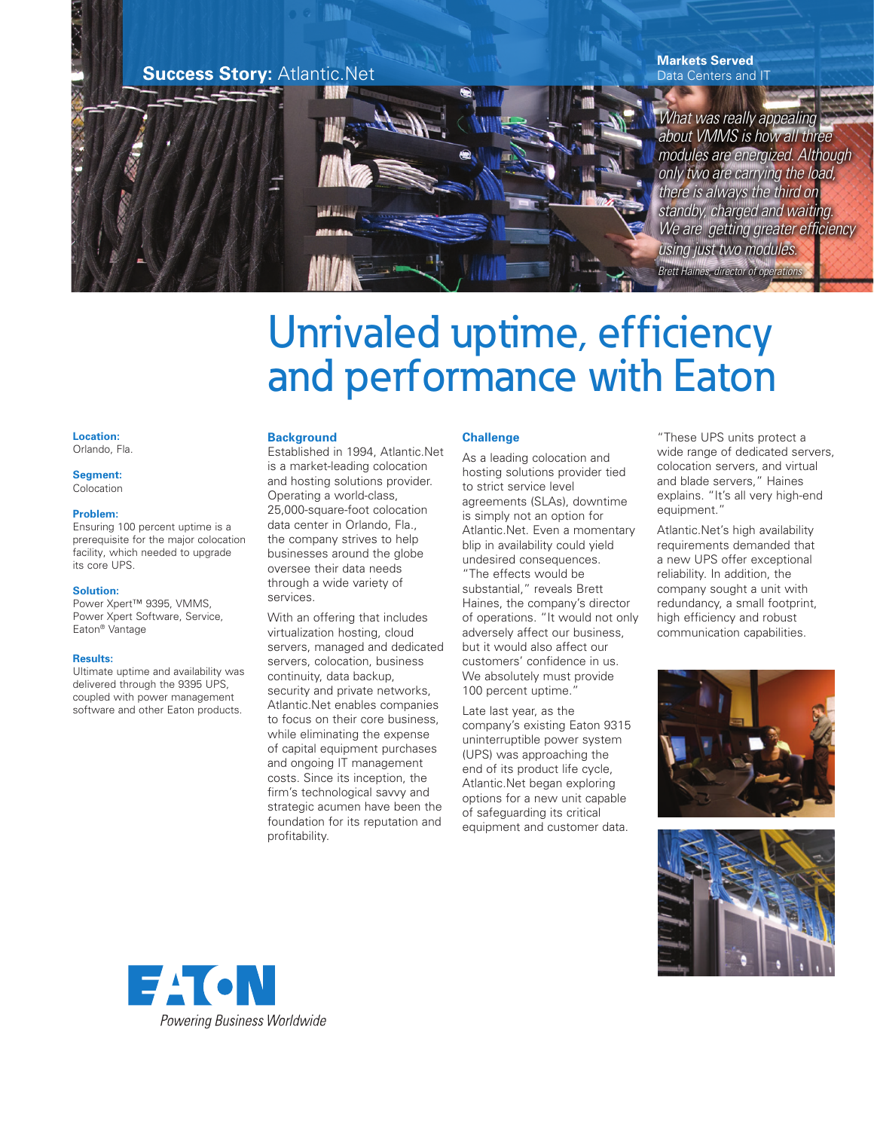

# Unrivaled uptime, efficiency and performance with Eaton

#### **Location:** Orlando, Fla.

**Segment:** Colocation

#### **Problem:**

Ensuring 100 percent uptime is a prerequisite for the major colocation facility, which needed to upgrade its core UPS.

#### **Solution:**

Power Xpert™ 9395, VMMS, Power Xpert Software, Service, Eaton® Vantage

#### **Results:**

Ultimate uptime and availability was delivered through the 9395 UPS, coupled with power management software and other Eaton products.

# **Background**

Established in 1994, Atlantic.Net is a market-leading colocation and hosting solutions provider. Operating a world-class, 25,000-square-foot colocation data center in Orlando, Fla., the company strives to help businesses around the globe oversee their data needs through a wide variety of services.

With an offering that includes virtualization hosting, cloud servers, managed and dedicated servers, colocation, business continuity, data backup, security and private networks, Atlantic.Net enables companies to focus on their core business, while eliminating the expense of capital equipment purchases and ongoing IT management costs. Since its inception, the firm's technological savvy and strategic acumen have been the foundation for its reputation and profitability.

# **Challenge**

As a leading colocation and hosting solutions provider tied to strict service level agreements (SLAs), downtime is simply not an option for Atlantic.Net. Even a momentary blip in availability could yield undesired consequences. "The effects would be substantial," reveals Brett Haines, the company's director of operations. "It would not only adversely affect our business, but it would also affect our customers' confidence in us. We absolutely must provide 100 percent uptime."

Late last year, as the company's existing Eaton 9315 uninterruptible power system (UPS) was approaching the end of its product life cycle, Atlantic.Net began exploring options for a new unit capable of safeguarding its critical equipment and customer data.

"These UPS units protect a wide range of dedicated servers, colocation servers, and virtual and blade servers," Haines explains. "It's all very high-end equipment."

Atlantic.Net's high availability requirements demanded that a new UPS offer exceptional reliability. In addition, the company sought a unit with redundancy, a small footprint, high efficiency and robust communication capabilities.